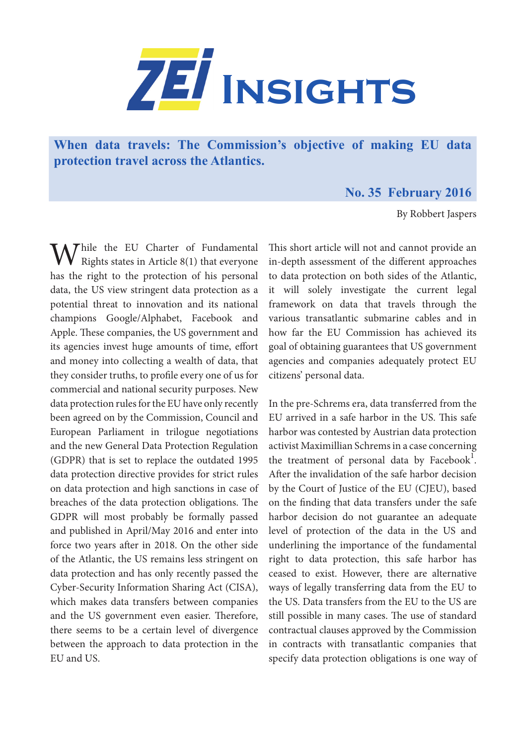

**When data travels: The Commission's objective of making EU data protection travel across the Atlantics.** 

## **No. 35 February 2016**

By Robbert Jaspers

While the EU Charter of Fundamental<br>Rights states in Article 8(1) that everyone has the right to the protection of his personal data, the US view stringent data protection as a potential threat to innovation and its national champions Google/Alphabet, Facebook and Apple. These companies, the US government and its agencies invest huge amounts of time, effort and money into collecting a wealth of data, that they consider truths, to profile every one of us for commercial and national security purposes. New data protection rules for the EU have only recently been agreed on by the Commission, Council and European Parliament in trilogue negotiations and the new General Data Protection Regulation (GDPR) that is set to replace the outdated 1995 data protection directive provides for strict rules on data protection and high sanctions in case of breaches of the data protection obligations. The GDPR will most probably be formally passed and published in April/May 2016 and enter into force two years after in 2018. On the other side of the Atlantic, the US remains less stringent on data protection and has only recently passed the Cyber-Security Information Sharing Act (CISA), which makes data transfers between companies and the US government even easier. Therefore, there seems to be a certain level of divergence between the approach to data protection in the EU and US.

This short article will not and cannot provide an in-depth assessment of the different approaches to data protection on both sides of the Atlantic, it will solely investigate the current legal framework on data that travels through the various transatlantic submarine cables and in how far the EU Commission has achieved its goal of obtaining guarantees that US government agencies and companies adequately protect EU citizens' personal data.

In the pre-Schrems era, data transferred from the EU arrived in a safe harbor in the US. This safe harbor was contested by Austrian data protection activist Maximillian Schrems in a case concerning the treatment of personal data by Facebook<sup>1</sup>. After the invalidation of the safe harbor decision by the Court of Justice of the EU (CJEU), based on the finding that data transfers under the safe harbor decision do not guarantee an adequate level of protection of the data in the US and underlining the importance of the fundamental right to data protection, this safe harbor has ceased to exist. However, there are alternative ways of legally transferring data from the EU to the US. Data transfers from the EU to the US are still possible in many cases. The use of standard contractual clauses approved by the Commission in contracts with transatlantic companies that specify data protection obligations is one way of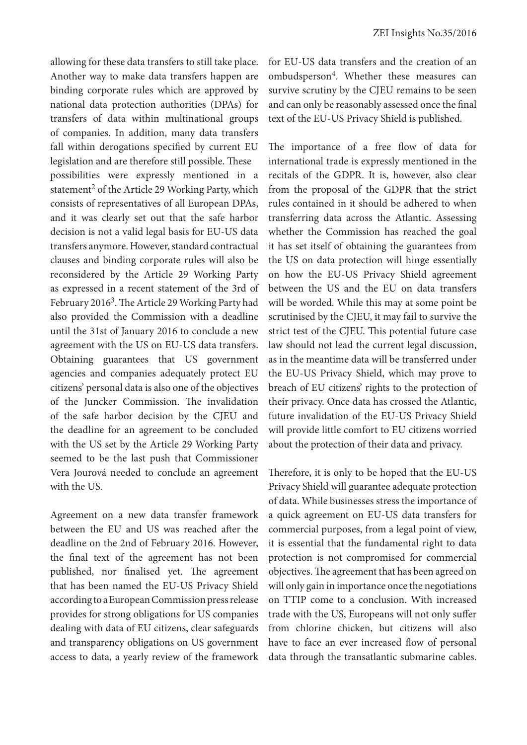allowing for these data transfers to still take place. Another way to make data transfers happen are binding corporate rules which are approved by national data protection authorities (DPAs) for transfers of data within multinational groups of companies. In addition, many data transfers fall within derogations specified by current EU legislation and are therefore still possible. These possibilities were expressly mentioned in a statement<sup>2</sup> of the Article 29 Working Party, which consists of representatives of all European DPAs, and it was clearly set out that the safe harbor decision is not a valid legal basis for EU-US data transfers anymore. However, standard contractual clauses and binding corporate rules will also be reconsidered by the Article 29 Working Party as expressed in a recent statement of the 3rd of February 2016<sup>3</sup>. The Article 29 Working Party had also provided the Commission with a deadline until the 31st of January 2016 to conclude a new agreement with the US on EU-US data transfers. Obtaining guarantees that US government agencies and companies adequately protect EU citizens' personal data is also one of the objectives of the Juncker Commission. The invalidation of the safe harbor decision by the CJEU and the deadline for an agreement to be concluded with the US set by the Article 29 Working Party seemed to be the last push that Commissioner Vera Jourová needed to conclude an agreement with the US.

Agreement on a new data transfer framework between the EU and US was reached after the deadline on the 2nd of February 2016. However, the final text of the agreement has not been published, nor finalised yet. The agreement that has been named the EU-US Privacy Shield according to a European Commission press release provides for strong obligations for US companies dealing with data of EU citizens, clear safeguards and transparency obligations on US government access to data, a yearly review of the framework for EU-US data transfers and the creation of an ombudsperson<sup>4</sup>. Whether these measures can survive scrutiny by the CJEU remains to be seen and can only be reasonably assessed once the final text of the EU-US Privacy Shield is published.

The importance of a free flow of data for international trade is expressly mentioned in the recitals of the GDPR. It is, however, also clear from the proposal of the GDPR that the strict rules contained in it should be adhered to when transferring data across the Atlantic. Assessing whether the Commission has reached the goal it has set itself of obtaining the guarantees from the US on data protection will hinge essentially on how the EU-US Privacy Shield agreement between the US and the EU on data transfers will be worded. While this may at some point be scrutinised by the CJEU, it may fail to survive the strict test of the CJEU. This potential future case law should not lead the current legal discussion, as in the meantime data will be transferred under the EU-US Privacy Shield, which may prove to breach of EU citizens' rights to the protection of their privacy. Once data has crossed the Atlantic, future invalidation of the EU-US Privacy Shield will provide little comfort to EU citizens worried about the protection of their data and privacy.

Therefore, it is only to be hoped that the EU-US Privacy Shield will guarantee adequate protection of data. While businesses stress the importance of a quick agreement on EU-US data transfers for commercial purposes, from a legal point of view, it is essential that the fundamental right to data protection is not compromised for commercial objectives. The agreement that has been agreed on will only gain in importance once the negotiations on TTIP come to a conclusion. With increased trade with the US, Europeans will not only suffer from chlorine chicken, but citizens will also have to face an ever increased flow of personal data through the transatlantic submarine cables.